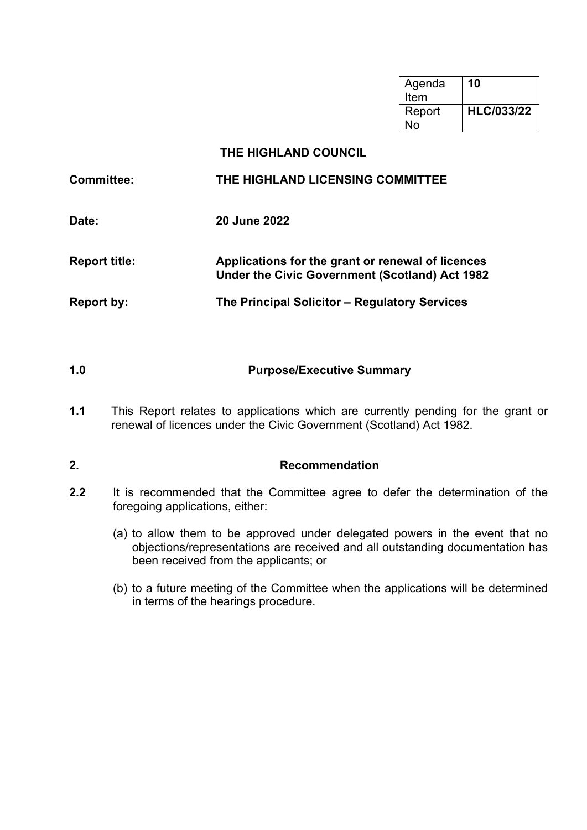| Agenda | 10                |
|--------|-------------------|
| Item   |                   |
| Report | <b>HLC/033/22</b> |
| N٥     |                   |

# **THE HIGHLAND COUNCIL**

| <b>Committee:</b>    | THE HIGHLAND LICENSING COMMITTEE                                                                    |
|----------------------|-----------------------------------------------------------------------------------------------------|
| Date:                | <b>20 June 2022</b>                                                                                 |
| <b>Report title:</b> | Applications for the grant or renewal of licences<br>Under the Civic Government (Scotland) Act 1982 |
| <b>Report by:</b>    | The Principal Solicitor - Regulatory Services                                                       |

# **1.0 Purpose/Executive Summary**

**1.1** This Report relates to applications which are currently pending for the grant or renewal of licences under the Civic Government (Scotland) Act 1982.

# **2. Recommendation**

- **2.2** It is recommended that the Committee agree to defer the determination of the foregoing applications, either:
	- (a) to allow them to be approved under delegated powers in the event that no objections/representations are received and all outstanding documentation has been received from the applicants; or
	- (b) to a future meeting of the Committee when the applications will be determined in terms of the hearings procedure.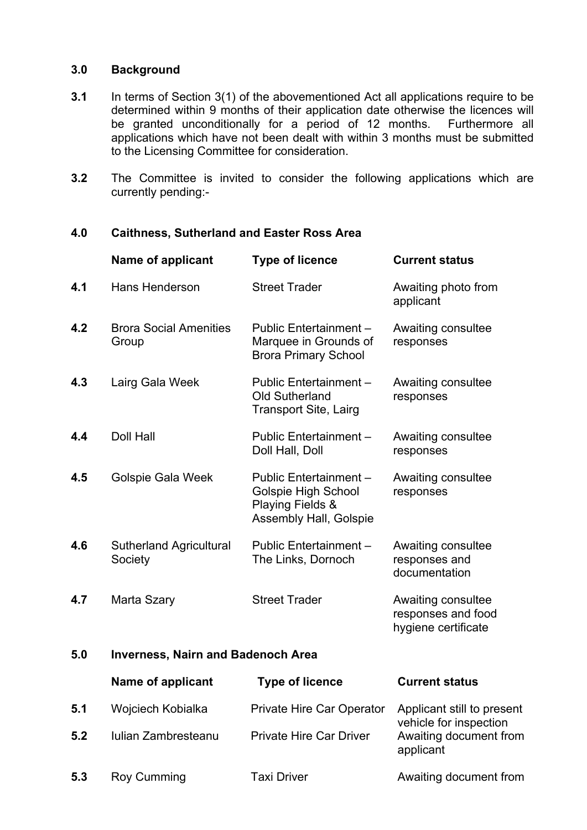#### **3.0 Background**

- **3.1** In terms of Section 3(1) of the abovementioned Act all applications require to be determined within 9 months of their application date otherwise the licences will be granted unconditionally for a period of 12 months. Furthermore all applications which have not been dealt with within 3 months must be submitted to the Licensing Committee for consideration.
- **3.2** The Committee is invited to consider the following applications which are currently pending:-

**4.0 Caithness, Sutherland and Easter Ross Area**

### **Name of applicant Type of licence Current status 4.1** Hans Henderson Street Trader Awaiting photo from applicant **4.2** Brora Social Amenities Group Public Entertainment – Marquee in Grounds of Brora Primary School Awaiting consultee responses **4.3** Lairg Gala Week Public Entertainment – Old Sutherland Transport Site, Lairg Awaiting consultee responses **4.4** Doll Hall Public Entertainment – Doll Hall, Doll Awaiting consultee responses **4.5** Golspie Gala Week Public Entertainment – Golspie High School Playing Fields & Assembly Hall, Golspie Awaiting consultee responses **4.6** Sutherland Agricultural **Society** Public Entertainment – The Links, Dornoch Awaiting consultee responses and documentation **4.7** Marta Szary **Street Trader** Awaiting consultee responses and food hygiene certificate **5.0 Inverness, Nairn and Badenoch Area**

|     | Name of applicant   | <b>Type of licence</b>           | <b>Current status</b>                                |
|-----|---------------------|----------------------------------|------------------------------------------------------|
| 5.1 | Wojciech Kobialka   | <b>Private Hire Car Operator</b> | Applicant still to present<br>vehicle for inspection |
| 5.2 | Iulian Zambresteanu | <b>Private Hire Car Driver</b>   | Awaiting document from<br>applicant                  |
| 5.3 | Roy Cumming         | Taxi Driver                      | Awaiting document from                               |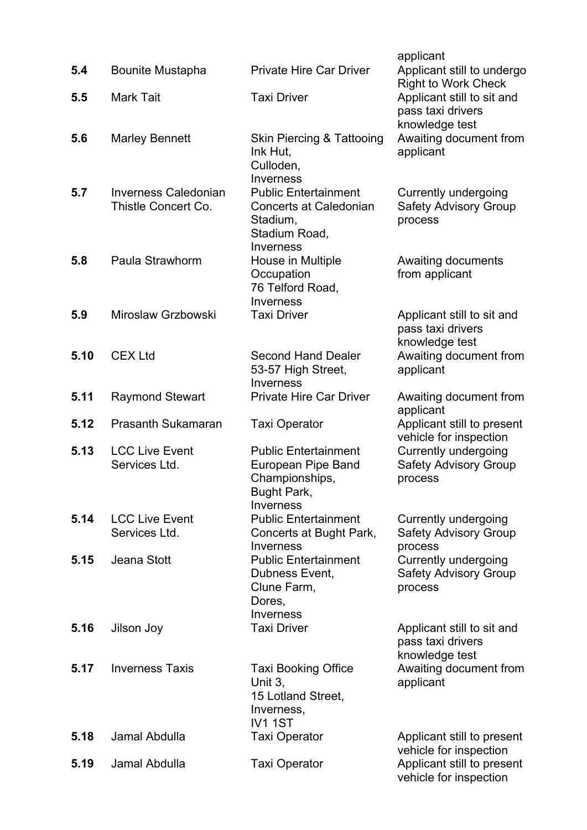|      |                                                    |                                                                                                        | applicant                                                              |
|------|----------------------------------------------------|--------------------------------------------------------------------------------------------------------|------------------------------------------------------------------------|
| 5.4  | <b>Bounite Mustapha</b>                            | <b>Private Hire Car Driver</b>                                                                         | Applicant still to undergo<br><b>Right to Work Check</b>               |
| 5.5  | <b>Mark Tait</b>                                   | <b>Taxi Driver</b>                                                                                     | Applicant still to sit and<br>pass taxi drivers<br>knowledge test      |
| 5.6  | <b>Marley Bennett</b>                              | <b>Skin Piercing &amp; Tattooing</b><br>Ink Hut,<br>Culloden,<br>Inverness                             | Awaiting document from<br>applicant                                    |
| 5.7  | <b>Inverness Caledonian</b><br>Thistle Concert Co. | <b>Public Entertainment</b><br><b>Concerts at Caledonian</b><br>Stadium,<br>Stadium Road,<br>Inverness | <b>Currently undergoing</b><br><b>Safety Advisory Group</b><br>process |
| 5.8  | Paula Strawhorm                                    | House in Multiple<br>Occupation<br>76 Telford Road,<br>Inverness                                       | Awaiting documents<br>from applicant                                   |
| 5.9  | Miroslaw Grzbowski                                 | <b>Taxi Driver</b>                                                                                     | Applicant still to sit and<br>pass taxi drivers<br>knowledge test      |
| 5.10 | <b>CEX Ltd</b>                                     | <b>Second Hand Dealer</b><br>53-57 High Street,<br>Inverness                                           | Awaiting document from<br>applicant                                    |
| 5.11 | <b>Raymond Stewart</b>                             | <b>Private Hire Car Driver</b>                                                                         | Awaiting document from<br>applicant                                    |
| 5.12 | <b>Prasanth Sukamaran</b>                          | <b>Taxi Operator</b>                                                                                   | Applicant still to present<br>vehicle for inspection                   |
| 5.13 | <b>LCC Live Event</b><br>Services Ltd.             | <b>Public Entertainment</b><br><b>European Pipe Band</b><br>Championships,<br>Bught Park,<br>Inverness | <b>Currently undergoing</b><br><b>Safety Advisory Group</b><br>process |
| 5.14 | <b>LCC Live Event</b><br>Services Ltd.             | <b>Public Entertainment</b><br>Concerts at Bught Park,<br>Inverness                                    | <b>Currently undergoing</b><br><b>Safety Advisory Group</b><br>process |
| 5.15 | Jeana Stott                                        | <b>Public Entertainment</b><br>Dubness Event,<br>Clune Farm,<br>Dores,<br>Inverness                    | <b>Currently undergoing</b><br><b>Safety Advisory Group</b><br>process |
| 5.16 | Jilson Joy                                         | <b>Taxi Driver</b>                                                                                     | Applicant still to sit and<br>pass taxi drivers<br>knowledge test      |
| 5.17 | <b>Inverness Taxis</b>                             | <b>Taxi Booking Office</b><br>Unit 3,<br>15 Lotland Street,<br>Inverness,<br><b>IV11ST</b>             | Awaiting document from<br>applicant                                    |
| 5.18 | Jamal Abdulla                                      | <b>Taxi Operator</b>                                                                                   | Applicant still to present<br>vehicle for inspection                   |
| 5.19 | Jamal Abdulla                                      | <b>Taxi Operator</b>                                                                                   | Applicant still to present<br>vehicle for inspection                   |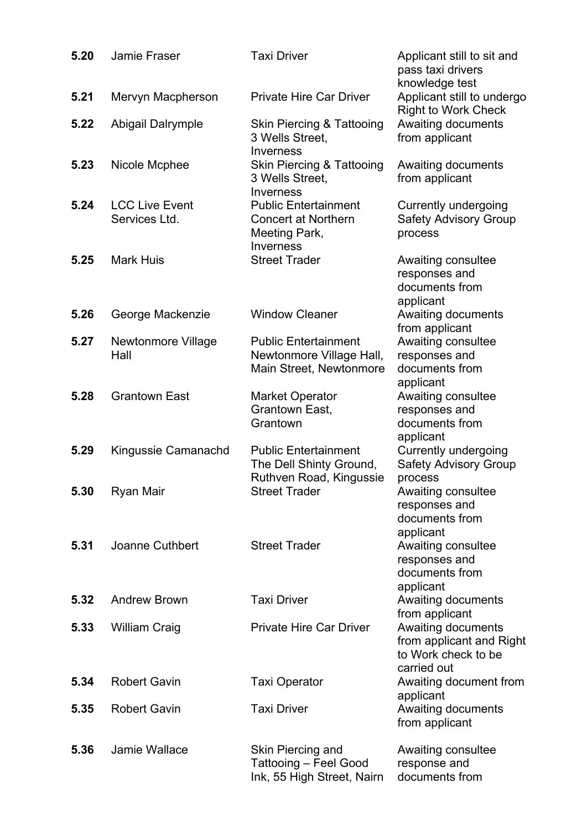| 5.20 | Jamie Fraser                           | <b>Taxi Driver</b>                                                                             | Applicant still to sit and<br>pass taxi drivers<br>knowledge test                           |
|------|----------------------------------------|------------------------------------------------------------------------------------------------|---------------------------------------------------------------------------------------------|
| 5.21 | Mervyn Macpherson                      | <b>Private Hire Car Driver</b>                                                                 | Applicant still to undergo<br><b>Right to Work Check</b>                                    |
| 5.22 | Abigail Dalrymple                      | <b>Skin Piercing &amp; Tattooing</b><br>3 Wells Street,<br>Inverness                           | Awaiting documents<br>from applicant                                                        |
| 5.23 | Nicole Mcphee                          | <b>Skin Piercing &amp; Tattooing</b><br>3 Wells Street,<br>Inverness                           | Awaiting documents<br>from applicant                                                        |
| 5.24 | <b>LCC Live Event</b><br>Services Ltd. | <b>Public Entertainment</b><br><b>Concert at Northern</b><br>Meeting Park,<br><b>Inverness</b> | <b>Currently undergoing</b><br><b>Safety Advisory Group</b><br>process                      |
| 5.25 | <b>Mark Huis</b>                       | <b>Street Trader</b>                                                                           | Awaiting consultee<br>responses and<br>documents from<br>applicant                          |
| 5.26 | George Mackenzie                       | <b>Window Cleaner</b>                                                                          | Awaiting documents<br>from applicant                                                        |
| 5.27 | <b>Newtonmore Village</b><br>Hall      | <b>Public Entertainment</b><br>Newtonmore Village Hall,<br>Main Street, Newtonmore             | Awaiting consultee<br>responses and<br>documents from<br>applicant                          |
| 5.28 | <b>Grantown East</b>                   | <b>Market Operator</b><br>Grantown East,<br>Grantown                                           | Awaiting consultee<br>responses and<br>documents from<br>applicant                          |
| 5.29 | Kingussie Camanachd                    | <b>Public Entertainment</b><br>The Dell Shinty Ground,<br>Ruthven Road, Kingussie              | <b>Currently undergoing</b><br><b>Safety Advisory Group</b><br>process                      |
| 5.30 | Ryan Mair                              | <b>Street Trader</b>                                                                           | Awaiting consultee<br>responses and<br>documents from<br>applicant                          |
| 5.31 | <b>Joanne Cuthbert</b>                 | <b>Street Trader</b>                                                                           | Awaiting consultee<br>responses and<br>documents from<br>applicant                          |
| 5.32 | <b>Andrew Brown</b>                    | <b>Taxi Driver</b>                                                                             | Awaiting documents<br>from applicant                                                        |
| 5.33 | <b>William Craig</b>                   | <b>Private Hire Car Driver</b>                                                                 | <b>Awaiting documents</b><br>from applicant and Right<br>to Work check to be<br>carried out |
| 5.34 | <b>Robert Gavin</b>                    | <b>Taxi Operator</b>                                                                           | Awaiting document from<br>applicant                                                         |
| 5.35 | <b>Robert Gavin</b>                    | <b>Taxi Driver</b>                                                                             | <b>Awaiting documents</b><br>from applicant                                                 |
| 5.36 | Jamie Wallace                          | Skin Piercing and<br>Tattooing - Feel Good<br>Ink, 55 High Street, Nairn                       | Awaiting consultee<br>response and<br>documents from                                        |